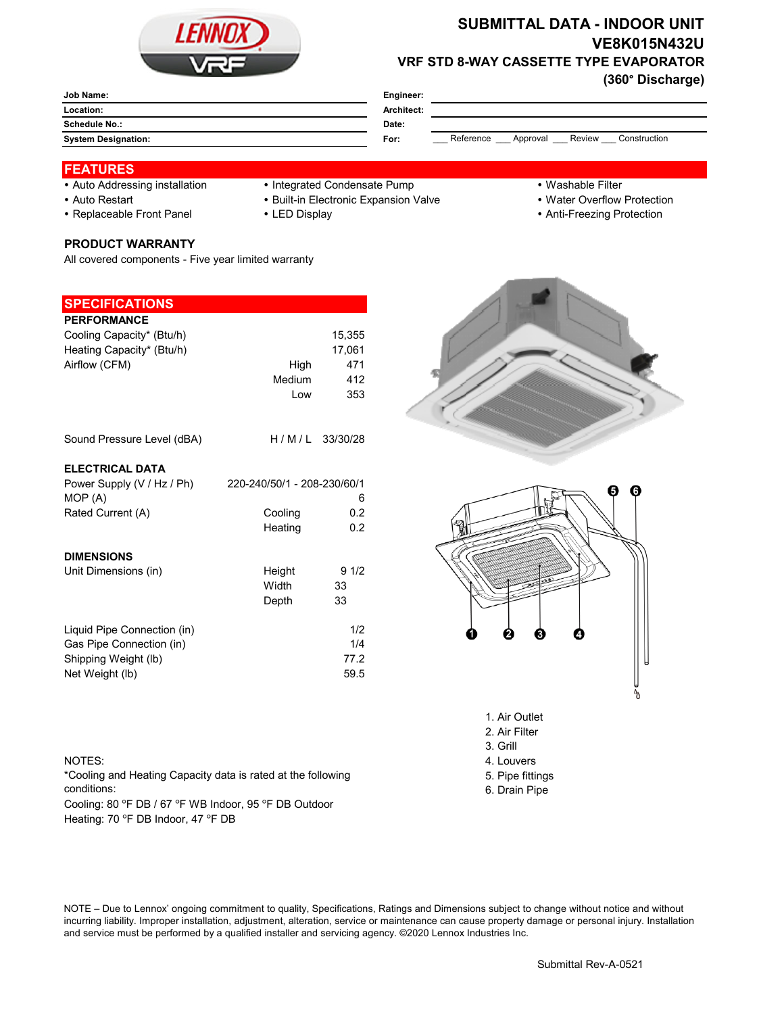

# **SUBMITTAL DATA - INDOOR UNIT VE8K015N432U VRF STD 8-WAY CASSETTE TYPE EVAPORATOR**

**(360° Discharge)**

| Job Name:                  | Engineer:                                               |
|----------------------------|---------------------------------------------------------|
| Location:                  | Architect:                                              |
| <b>Schedule No.:</b>       | Date:                                                   |
| <b>System Designation:</b> | Reference<br>Review<br>Construction<br>For:<br>Approval |

### **FEATURES**

- 
- Auto Addressing installation Integrated Condensate Pump Washable Filter
- 
- Replaceable Front Panel LED Display Anti-Freezing Protection

# • Auto Restart **Built-in Electronic Expansion Valve Water Overflow Protection**

- -
	-



All covered components - Five year limited warranty

### **SPECIFICATIONS**

| <b>PERFORMANCE</b>                    |                             |                  |
|---------------------------------------|-----------------------------|------------------|
| Cooling Capacity* (Btu/h)             |                             | 15,355           |
| Heating Capacity* (Btu/h)             |                             | 17,061           |
| Airflow (CFM)                         | High                        | 471              |
|                                       | Medium                      | 412              |
|                                       | Low                         | 353              |
|                                       |                             |                  |
| Sound Pressure Level (dBA)            |                             | $H/M/L$ 33/30/28 |
| <b>ELECTRICAL DATA</b>                |                             |                  |
|                                       |                             |                  |
| Power Supply (V / Hz / Ph)<br>MOP (A) | 220-240/50/1 - 208-230/60/1 | 6                |
|                                       | Cooling                     | 0.2              |
| Rated Current (A)                     |                             |                  |
|                                       | Heating                     | 0.2              |
| <b>DIMENSIONS</b>                     |                             |                  |
| Unit Dimensions (in)                  | Height                      | 91/2             |
|                                       | Width                       | 33               |
|                                       | Depth                       | 33               |
|                                       |                             |                  |
| Liquid Pipe Connection (in)           |                             | 1/2              |
| Gas Pipe Connection (in)              |                             | 1/4              |
| Shipping Weight (lb)                  |                             | 77.2             |
| Net Weight (lb)                       |                             | 59.5             |





- 2. Air Filter
- 3. Grill
- NOTES: 4. Louvers
	-
	- 5. Pipe fittings 6. Drain Pipe

\*Cooling and Heating Capacity data is rated at the following conditions:

Cooling: 80 °F DB / 67 °F WB Indoor, 95 °F DB Outdoor Heating: 70 °F DB Indoor, 47 °F DB

NOTE – Due to Lennox' ongoing commitment to quality, Specifications, Ratings and Dimensions subject to change without notice and without incurring liability. Improper installation, adjustment, alteration, service or maintenance can cause property damage or personal injury. Installation and service must be performed by a qualified installer and servicing agency. ©2020 Lennox Industries Inc.